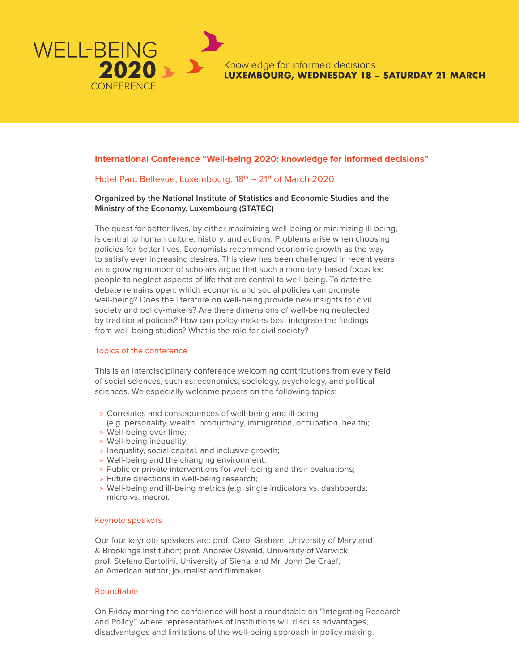

Knowledge for informed decisions **LUXEMBOURG, WEDNESDAY 18 - SATURDAY 21 MARCH** 

## **International Conference "Well-being 2020: knowledge for informed decisions"**

# Hotel Parc Bellevue, Luxembourg, 18<sup>th</sup> – 21<sup>st</sup> of March 2020

## **Organized by the National Institute of Statistics and Economic Studies and the Ministry of the Economy, Luxembourg (STATEC)**

The quest for better lives, by either maximizing well-being or minimizing ill-being, is central to human culture, history, and actions. Problems arise when choosing policies for better lives. Economists recommend economic growth as the way to satisfy ever increasing desires. This view has been challenged in recent years as a growing number of scholars argue that such a monetary-based focus led people to neglect aspects of life that are central to well-being. To date the debate remains open: which economic and social policies can promote well-being? Does the literature on well-being provide new insights for civil society and policy-makers? Are there dimensions of well-being neglected by traditional policies? How can policy-makers best integrate the findings from well-being studies? What is the role for civil society?

#### Topics of the conference

This is an interdisciplinary conference welcoming contributions from every field of social sciences, such as: economics, sociology, psychology, and political sciences. We especially welcome papers on the following topics:

- » Correlates and consequences of well-being and ill-being (e.g. personality, wealth, productivity, immigration, occupation, health);
- » Well-being over time;
- » Well-being inequality;
- » Inequality, social capital, and inclusive growth;
- » Well-being and the changing environment;
- » Public or private interventions for well-being and their evaluations;
- » Future directions in well-being research;
- » Well-being and ill-being metrics (e.g. single indicators vs. dashboards; micro vs. macro).

#### Keynote speakers

Our four keynote speakers are: prof. Carol Graham, University of Maryland & Brookings Institution; prof. Andrew Oswald, University of Warwick; prof. Stefano Bartolini, University of Siena; and Mr. John De Graaf, an American author, journalist and filmmaker.

### Roundtable

On Friday morning the conference will host a roundtable on "Integrating Research and Policy" where representatives of institutions will discuss advantages, disadvantages and limitations of the well-being approach in policy making.